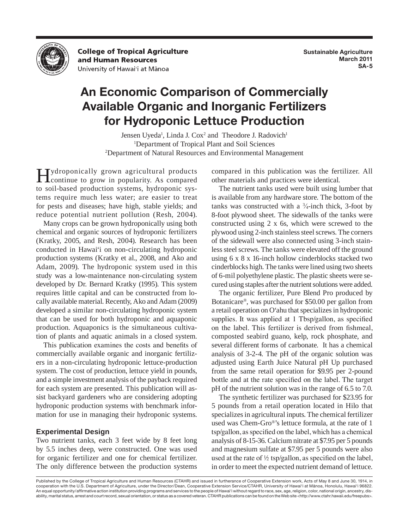

**College of Tropical Agriculture** and Human Resources University of Hawai'i at Mānoa

## **An Economic Comparison of Commercially Available Organic and Inorganic Fertilizers for Hydroponic Lettuce Production**

Jensen Uyeda<sup>1</sup>, Linda J. Cox<sup>2</sup> and Theodore J. Radovich<sup>1</sup> <sup>1</sup>Department of Tropical Plant and Soil Sciences 2 Department of Natural Resources and Environmental Management

Hydroponically grown agricultural products<br>continue to grow in popularity. As compared to soil-based production systems, hydroponic systems require much less water; are easier to treat for pests and diseases; have high, stable yields; and reduce potential nutrient pollution (Resh, 2004).

Many crops can be grown hydroponically using both chemical and organic sources of hydroponic fertilizers (Kratky, 2005, and Resh, 2004). Research has been conducted in Hawai'i on non-circulating hydroponic production systems (Kratky et al., 2008, and Ako and Adam, 2009). The hydroponic system used in this study was a low-maintenance non-circulating system developed by Dr. Bernard Kratky (1995). This system requires little capital and can be constructed from locally available material. Recently, Ako and Adam (2009) developed a similar non-circulating hydroponic system that can be used for both hydroponic and aquaponic production. Aquaponics is the simultaneous cultivation of plants and aquatic animals in a closed system.

This publication examines the costs and benefits of commercially available organic and inorganic fertilizers in a non-circulating hydroponic lettuce-production system. The cost of production, lettuce yield in pounds, and a simple investment analysis of the payback required for each system are presented. This publication will assist backyard gardeners who are considering adopting hydroponic production systems with benchmark information for use in managing their hydroponic systems.

## **Experimental Design**

Two nutrient tanks, each 3 feet wide by 8 feet long by 5.5 inches deep, were constructed. One was used for organic fertilizer and one for chemical fertilizer. The only difference between the production systems compared in this publication was the fertilizer. All other materials and practices were identical.

The nutrient tanks used were built using lumber that is available from any hardware store. The bottom of the tanks was constructed with a  $\frac{3}{4}$ -inch thick, 3-foot by 8-foot plywood sheet. The sidewalls of the tanks were constructed using 2 x 6s, which were screwed to the plywood using 2-inch stainless steel screws. The corners of the sidewall were also connected using 3-inch stainless steel screws. The tanks were elevated off the ground using 6 x 8 x 16-inch hollow cinderblocks stacked two cinderblocks high. The tanks were lined using two sheets of 6-mil polyethylene plastic. The plastic sheets were secured using staples after the nutrient solutions were added.

The organic fertilizer, Pure Blend Pro produced by Botanicare®, was purchased for \$50.00 per gallon from a retail operation on O'ahu that specializes in hydroponic supplies. It was applied at 1 Tbsp/gallon, as specified on the label. This fertilizer is derived from fishmeal, composted seabird guano, kelp, rock phosphate, and several different forms of carbonate. It has a chemical analysis of 3-2-4. The pH of the organic solution was adjusted using Earth Juice Natural pH Up purchased from the same retail operation for \$9.95 per 2-pound bottle and at the rate specified on the label. The target pH of the nutrient solution was in the range of 6.5 to 7.0.

The synthetic fertilizer was purchased for \$23.95 for 5 pounds from a retail operation located in Hilo that specializes in agricultural inputs. The chemical fertilizer used was Chem-Gro®'s lettuce formula, at the rate of 1 tsp/gallon, as specified on the label, which has a chemical analysis of 8-15-36. Calcium nitrate at \$7.95 per 5 pounds and magnesium sulfate at \$7.95 per 5 pounds were also used at the rate of  $\frac{1}{2}$  tsp/gallon, as specified on the label, in order to meet the expected nutrient demand of lettuce.

Published by the College of Tropical Agriculture and Human Resources (CTAHR) and issued in furtherance of Cooperative Extension work, Acts of May 8 and June 30, 1914, in cooperation with the U.S. Department of Agriculture, under the Director/Dean, Cooperative Extension Service/CTAHR, University of Hawai'i at Mānoa, Honolulu, Hawai'i 96822. An equal opportunity/affirmative action institution providing programs and services to the people of Hawai'i without regard to race, sex, age, religion, color, national origin, ancestry, disability, marital status, arrest and court record, sexual orientation, or status as a covered veteran. CTAHR publications can be found on the Web site <http://www.ctahr.hawaii.edu/freepubs>.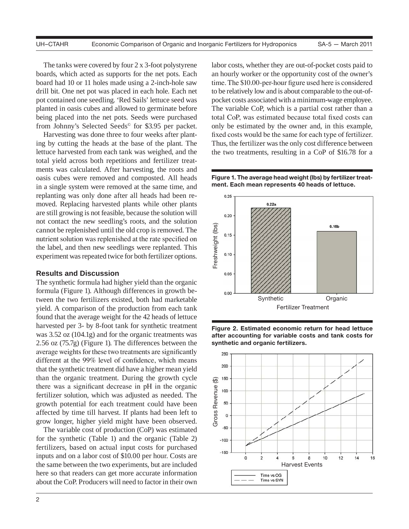The tanks were covered by four 2 x 3-foot polystyrene boards, which acted as supports for the net pots. Each board had 10 or 11 holes made using a 2-inch-hole saw drill bit. One net pot was placed in each hole. Each net pot contained one seedling. 'Red Sails' lettuce seed was planted in oasis cubes and allowed to germinate before being placed into the net pots. Seeds were purchased from Johnny's Selected Seeds© for \$3.95 per packet.

Harvesting was done three to four weeks after planting by cutting the heads at the base of the plant. The lettuce harvested from each tank was weighed, and the total yield across both repetitions and fertilizer treatments was calculated. After harvesting, the roots and oasis cubes were removed and composted. All heads in a single system were removed at the same time, and replanting was only done after all heads had been removed. Replacing harvested plants while other plants are still growing is not feasible, because the solution will not contact the new seedling's roots, and the solution cannot be replenished until the old crop is removed. The nutrient solution was replenished at the rate specified on the label, and then new seedlings were replanted. This experiment was repeated twice for both fertilizer options.

## **Results and Discussion**

The synthetic formula had higher yield than the organic formula (Figure 1). Although differences in growth between the two fertilizers existed, both had marketable yield. A comparison of the production from each tank found that the average weight for the 42 heads of lettuce harvested per 3- by 8-foot tank for synthetic treatment was 3.52 oz (104.1g) and for the organic treatments was 2.56 oz (75.7g) (Figure 1). The differences between the average weights for these two treatments are significantly different at the 99% level of confidence, which means that the synthetic treatment did have a higher mean yield than the organic treatment. During the growth cycle there was a significant decrease in pH in the organic fertilizer solution, which was adjusted as needed. The growth potential for each treatment could have been affected by time till harvest. If plants had been left to grow longer, higher yield might have been observed.

The variable cost of production (CoP) was estimated for the synthetic (Table 1) and the organic (Table 2) fertilizers, based on actual input costs for purchased inputs and on a labor cost of \$10.00 per hour. Costs are the same between the two experiments, but are included here so that readers can get more accurate information about the CoP. Producers will need to factor in their own labor costs, whether they are out-of-pocket costs paid to an hourly worker or the opportunity cost of the owner's time. The \$10.00-per-hour figure used here is considered to be relatively low and is about comparable to the out-ofpocket costs associated with a minimum-wage employee. The variable CoP, which is a partial cost rather than a total CoP, was estimated because total fixed costs can only be estimated by the owner and, in this example, fixed costs would be the same for each type of fertilizer. Thus, the fertilizer was the only cost difference between the two treatments, resulting in a CoP of \$16.78 for a

**Figure 1. The average head weight (lbs) by fertilizer treatment. Each mean represents 40 heads of lettuce.**





**Figure 2. Estimated economic return for head lettuce after accounting for variable costs and tank costs for synthetic and organic fertilizers.**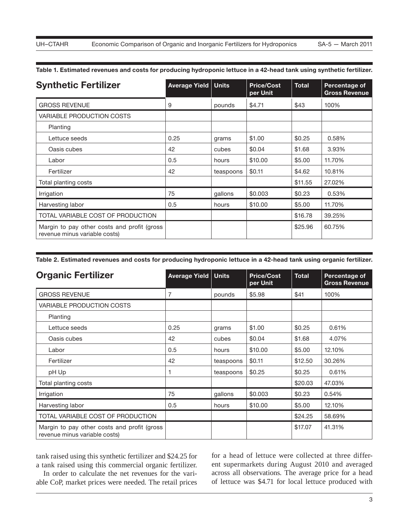| <b>Synthetic Fertilizer</b>                                                  | <b>Average Yield   Units</b> |           | <b>Price/Cost</b><br>per Unit | <b>Total</b> | Percentage of<br><b>Gross Revenue</b> |
|------------------------------------------------------------------------------|------------------------------|-----------|-------------------------------|--------------|---------------------------------------|
| <b>GROSS REVENUE</b>                                                         | 9                            | pounds    | \$4.71                        | \$43         | 100%                                  |
| <b>VARIABLE PRODUCTION COSTS</b>                                             |                              |           |                               |              |                                       |
| Planting                                                                     |                              |           |                               |              |                                       |
| Lettuce seeds                                                                | 0.25                         | grams     | \$1.00                        | \$0.25       | 0.58%                                 |
| Oasis cubes                                                                  | 42                           | cubes     | \$0.04                        | \$1.68       | 3.93%                                 |
| Labor                                                                        | 0.5                          | hours     | \$10.00                       | \$5.00       | 11.70%                                |
| Fertilizer                                                                   | 42                           | teaspoons | \$0.11                        | \$4.62       | 10.81%                                |
| Total planting costs                                                         |                              |           |                               | \$11.55      | 27.02%                                |
| Irrigation                                                                   | 75                           | gallons   | \$0.003                       | \$0.23       | 0.53%                                 |
| Harvesting labor                                                             | 0.5                          | hours     | \$10.00                       | \$5.00       | 11.70%                                |
| TOTAL VARIABLE COST OF PRODUCTION                                            |                              |           |                               | \$16.78      | 39.25%                                |
| Margin to pay other costs and profit (gross<br>revenue minus variable costs) |                              |           |                               | \$25.96      | 60.75%                                |

**Table 1. Estimated revenues and costs for producing hydroponic lettuce in a 42-head tank using synthetic fertilizer.**

**Table 2. Estimated revenues and costs for producing hydroponic lettuce in a 42-head tank using organic fertilizer.**

| <b>Organic Fertilizer</b>                                                    | <b>Average Yield</b> | <b>Units</b> | <b>Price/Cost</b><br>per Unit | <b>Total</b> | Percentage of<br><b>Gross Revenue</b> |
|------------------------------------------------------------------------------|----------------------|--------------|-------------------------------|--------------|---------------------------------------|
| <b>GROSS REVENUE</b>                                                         |                      | pounds       | \$5.98                        | \$41         | 100%                                  |
| <b>VARIABLE PRODUCTION COSTS</b>                                             |                      |              |                               |              |                                       |
| Planting                                                                     |                      |              |                               |              |                                       |
| Lettuce seeds                                                                | 0.25                 | grams        | \$1.00                        | \$0.25       | 0.61%                                 |
| Oasis cubes                                                                  | 42                   | cubes        | \$0.04                        | \$1.68       | 4.07%                                 |
| Labor                                                                        | 0.5                  | hours        | \$10.00                       | \$5.00       | 12.10%                                |
| Fertilizer                                                                   | 42                   | teaspoons    | \$0.11                        | \$12.50      | 30.26%                                |
| pH Up                                                                        | 1                    | teaspoons    | \$0.25                        | \$0.25       | 0.61%                                 |
| Total planting costs                                                         |                      |              |                               | \$20.03      | 47.03%                                |
| Irrigation                                                                   | 75                   | gallons      | \$0.003                       | \$0.23       | 0.54%                                 |
| Harvesting labor                                                             | 0.5                  | hours        | \$10.00                       | \$5.00       | 12.10%                                |
| TOTAL VARIABLE COST OF PRODUCTION                                            |                      |              |                               | \$24.25      | 58.69%                                |
| Margin to pay other costs and profit (gross<br>revenue minus variable costs) |                      |              |                               | \$17.07      | 41.31%                                |

tank raised using this synthetic fertilizer and \$24.25 for a tank raised using this commercial organic fertilizer.

In order to calculate the net revenues for the variable CoP, market prices were needed. The retail prices for a head of lettuce were collected at three different supermarkets during August 2010 and averaged across all observations. The average price for a head of lettuce was \$4.71 for local lettuce produced with